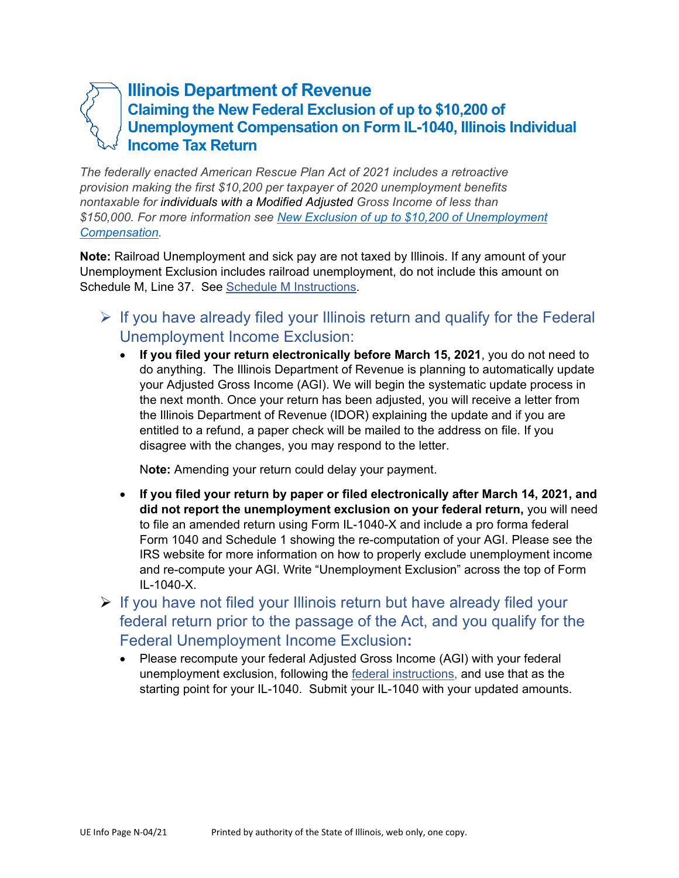## **Illinois Department of Revenue Claiming the New Federal Exclusion of up to \$10,200 of Unemployment Compensation on Form IL-1040, Illinois Individual Income Tax Return**

*The federally enacted American Rescue Plan Act of 2021 includes a retroactive provision making the first \$10,200 per taxpayer of 2020 unemployment benefits nontaxable for individuals with a Modified Adjusted Gross Income of less than [\\$150,000. For more information see New Exclusion of up to \\$10,200 of Unemployment](https://www.irs.gov/forms-pubs/new-unemployment-compensation-exclusion-for-2020)  Compensation.* 

**Note:** Railroad Unemployment and sick pay are not taxed by Illinois. If any amount of your Unemployment Exclusion includes railroad unemployment, do not include this amount on Schedule M, Line 37. See [Schedule M Instructions](https://www2.illinois.gov/rev/forms/incometax/Documents/currentyear/individual/IL-1040-Schedule-M-Instr.pdf).

- $\triangleright$  If you have already filed your Illinois return and qualify for the Federal Unemployment Income Exclusion:
	- **If you filed your return electronically before March 15, 2021**, you do not need to do anything. The Illinois Department of Revenue is planning to automatically update your Adjusted Gross Income (AGI). We will begin the systematic update process in the next month. Once your return has been adjusted, you will receive a letter from the Illinois Department of Revenue (IDOR) explaining the update and if you are entitled to a refund, a paper check will be mailed to the address on file. If you disagree with the changes, you may respond to the letter.

N**ote:** Amending your return could delay your payment.

- **If you filed your return by paper or filed electronically after March 14, 2021, and did not report the unemployment exclusion on your federal return,** you will need to file an amended return using Form IL-1040-X and include a pro forma federal Form 1040 and Schedule 1 showing the re-computation of your AGI. Please see the IRS website for more information on how to properly exclude unemployment income and re-compute your AGI. Write "Unemployment Exclusion" across the top of Form IL-1040-X.
- $\triangleright$  If you have not filed your Illinois return but have already filed your federal return prior to the passage of the Act, and you qualify for the Federal Unemployment Income Exclusion**:** 
	- Please recompute your federal Adjusted Gross Income (AGI) with your federal unemployment exclusion, following the [federal instructions,](https://www.irs.gov/forms-pubs/new-unemployment-compensation-exclusion-for-2020) and use that as the starting point for your IL-1040. Submit your IL-1040 with your updated amounts.